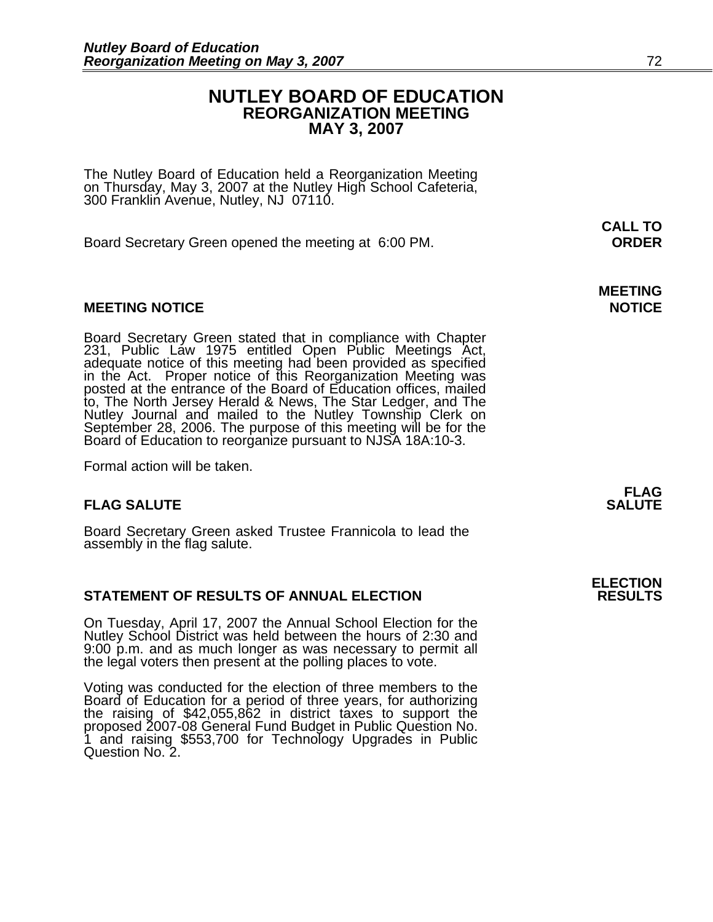#### **NUTLEY BOARD OF EDUCATION REORGANIZATION MEETING MAY 3, 2007**

The Nutley Board of Education held a Reorganization Meeting on Thursday, May 3, 2007 at the Nutley High School Cafeteria, 300 Franklin Avenue, Nutley, NJ 07110.

Board Secretary Green opened the meeting at 6:00 PM. **ORDER**

#### **MEETING NOTICE NOTICE**

Board Secretary Green stated that in compliance with Chapter 231, Public Law 1975 entitled Open Public Meetings Act, adequate notice of this meeting had been provided as specified in the Act. Proper notice of this Reorgani to, The North Jersey Herald & News, The Star Ledger, and The Nutley Journal and mailed to the Nutley Township Clerk on September 28, 2006. The purpose of this meeting will be for the Board of Education to reorganize pursuant to NJSA 18A:10-3.

Formal action will be taken.

#### **FLAG SALUTE** SALUTE SALUTE SALUTE SALUTE SALUTE

Board Secretary Green asked Trustee Frannicola to lead the assembly in the flag salute.

#### **STATEMENT OF RESULTS OF ANNUAL ELECTION**

On Tuesday, April 17, 2007 the Annual School Election for the Nutley School District was held between the hours of 2:30 and 9:00 p.m. and as much longer as was necessary to permit all the legal voters then present at the polling places to vote.

Voting was conducted for the election of three members to the Board of Education for a period of three years, for authorizing the raising of \$42,055,862 in district taxes to support the proposed 2007-08 General Fund Budget in Public Question No. 1 and raising \$553,700 for Technology Upgrades in Public Question No. 2.

 **CALL TO** 

**MEETING** 

**FLAG** 

**ELECTION**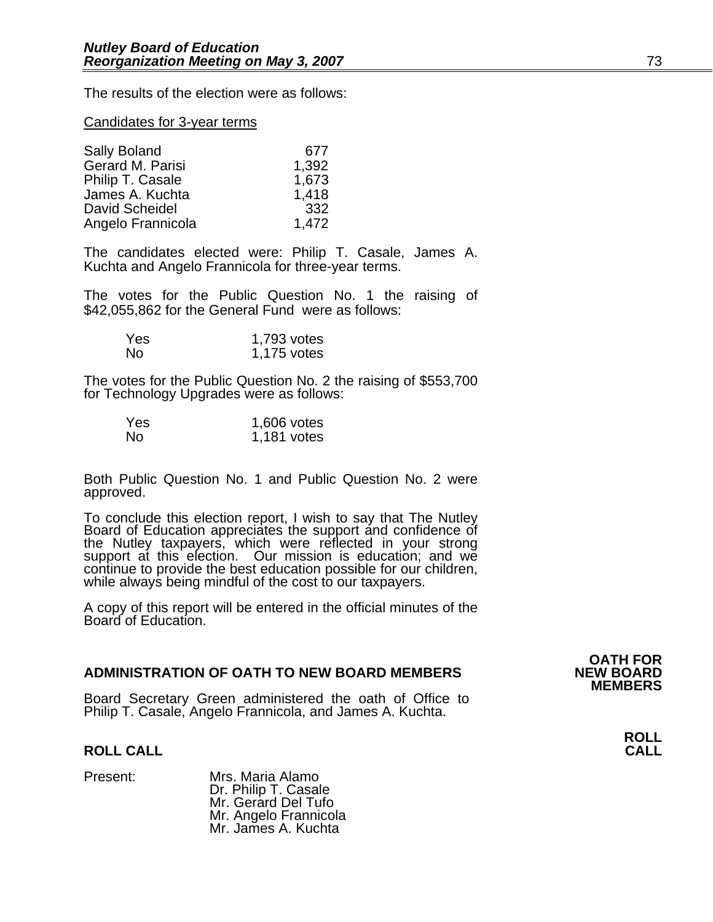The results of the election were as follows:

#### Candidates for 3-year terms

| Sally Boland      | 677   |
|-------------------|-------|
| Gerard M. Parisi  | 1,392 |
| Philip T. Casale  | 1,673 |
| James A. Kuchta   | 1,418 |
| David Scheidel    | 332   |
| Angelo Frannicola | 1,472 |

The candidates elected were: Philip T. Casale, James A. Kuchta and Angelo Frannicola for three-year terms.

The votes for the Public Question No. 1 the raising of \$42,055,862 for the General Fund were as follows:

| Yes. | 1,793 votes |
|------|-------------|
| No   | 1,175 votes |

The votes for the Public Question No. 2 the raising of \$553,700 for Technology Upgrades were as follows:

| Yes | 1,606 votes |
|-----|-------------|
| No  | 1,181 votes |

Both Public Question No. 1 and Public Question No. 2 were approved.

To conclude this election report, I wish to say that The Nutley<br>Board of Education appreciates the support and confidence of<br>the Nutley taxpayers, which were reflected in your strong<br>support at this election. Our mission i continue to provide the best education possible for our children,<br>while always being mindful of the cost to our taxpayers.

A copy of this report will be entered in the official minutes of the Board of Education.

#### **ADMINISTRATION OF OATH TO NEW BOARD MEMBERS**

Board Secretary Green administered the oath of Office to Philip T. Casale, Angelo Frannicola, and James A. Kuchta.

#### **ROLL CALL**

Present: Mrs. Maria Alamo<br>Dr. Philip T. Casale Mr. Gerard Del Tufo Mr. Angelo Frannicola Mr. James A. Kuchta

**OATH FOR MEMBERS** 

**ROLL**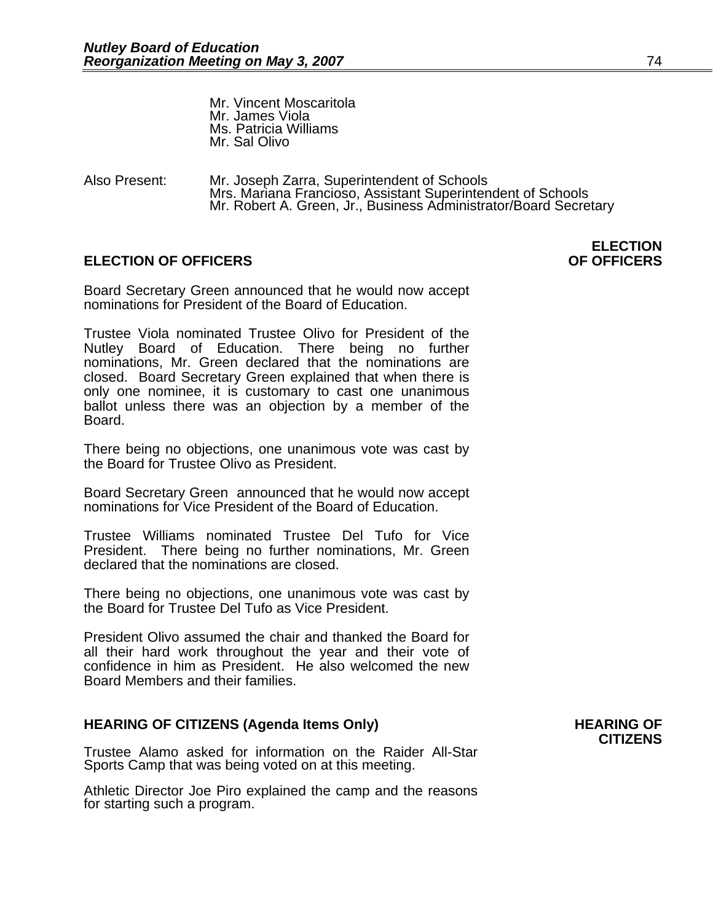Mr. Vincent Moscaritola Mr. James Viola Ms. Patricia Williams Mr. Sal Olivo

Also Present: Mr. Joseph Zarra, Superintendent of Schools<br>Mrs. Mariana Francioso, Assistant Superintendent of Schools Mr. Robert A. Green, Jr., Business Administrator/Board Secretary

#### **ELECTION OF OFFICERS**

Board Secretary Green announced that he would now accept nominations for President of the Board of Education.

Trustee Viola nominated Trustee Olivo for President of the Nutley Board of Education. There being no further nominations, Mr. Green declared that the nominations are closed. Board Secretary Green explained that when there is only one nominee, it is customary to cast one unanimous ballot unless there was an objection by a member of the Board.

There being no objections, one unanimous vote was cast by the Board for Trustee Olivo as President.

Board Secretary Green announced that he would now accept nominations for Vice President of the Board of Education.

Trustee Williams nominated Trustee Del Tufo for Vice President. There being no further nominations, Mr. Green declared that the nominations are closed.

There being no objections, one unanimous vote was cast by the Board for Trustee Del Tufo as Vice President.

President Olivo assumed the chair and thanked the Board for all their hard work throughout the year and their vote of confidence in him as President. He also welcomed the new Board Members and their families.

#### HEARING OF CITIZENS (Agenda Items Only) **HEARING OF**

Trustee Alamo asked for information on the Raider All-Star Sports Camp that was being voted on at this meeting.

Athletic Director Joe Piro explained the camp and the reasons for starting such a program.

## **CITIZENS**

## **ELECTION**<br>**OF OFFICERS**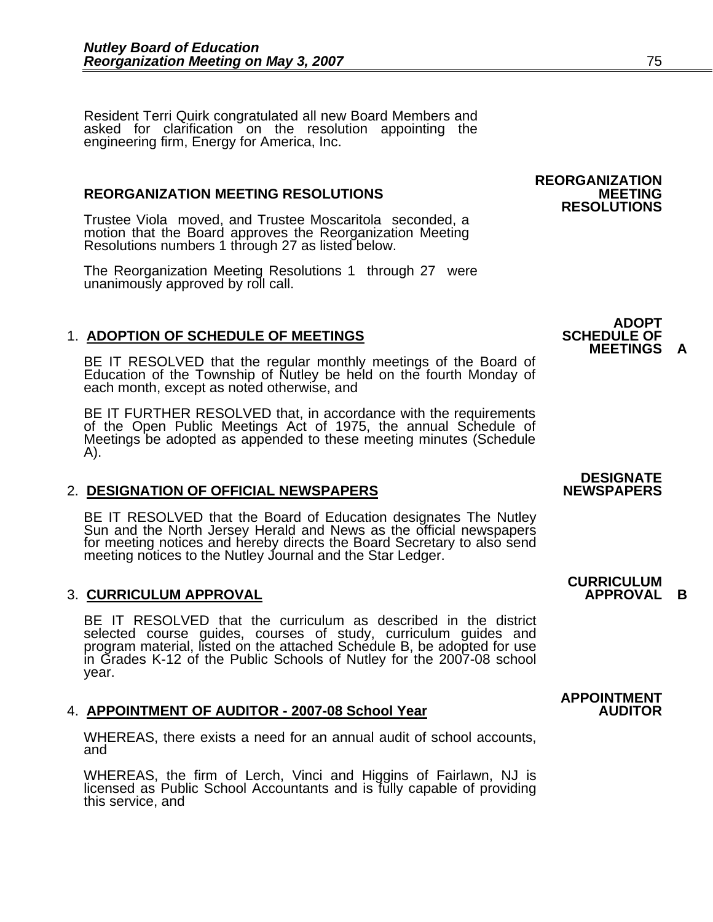Resident Terri Quirk congratulated all new Board Members and asked for clarification on the resolution appointing the engineering firm, Energy for America, Inc.

#### **REORGANIZATION MEETING RESOLUTIONS**

Trustee Viola moved, and Trustee Moscaritola seconded, a motion that the Board approves the Reorganization Meeting Resolutions numbers 1 through 27 as listed below.

The Reorganization Meeting Resolutions 1 through 27 were unanimously approved by roll call.

#### **1. ADOPTION OF SCHEDULE OF MEETINGS**

BE IT RESOLVED that the regular monthly meetings of the Board of Education of the Township of Nutley be held on the fourth Monday of each month, except as noted otherwise, and

BE IT FURTHER RESOLVED that, in accordance with the requirements of the Open Public Meetings Act of 1975, the annual Schedule of Meetings be adopted as appended to these meeting minutes (Schedule A).

#### 2. DESIGNATION OF OFFICIAL NEWSPAPERS

BE IT RESOLVED that the Board of Education designates The Nutley<br>Sun and the North Jersey Herald and News as the official newspapers<br>for meeting notices and hereby directs the Board Secretary to also send<br>meeting notices t

#### **3. CURRICULUM APPROVAL**

BE IT RESOLVED that the curriculum as described in the district selected course guides, courses of study, curriculum guides and program material, listed on the attached Schedule B, be adopted for use<br>in Grades K-12 of the Public Schools of Nutley for the 2007-08 school year.

#### 4. APPOINTMENT OF AUDITOR - 2007-08 School Year

WHEREAS, there exists a need for an annual audit of school accounts, and

WHEREAS, the firm of Lerch, Vinci and Higgins of Fairlawn, NJ is licensed as Public School Accountants and is fully capable of providing this service, and

### **REORGANIZATION RESOLUTIONS**

# **MEETINGS A**

**ADOPT<br>SCHEDULE OF** 

### **DESIGNATE**

### **CURRICULUM**

### **APPOINTMENT**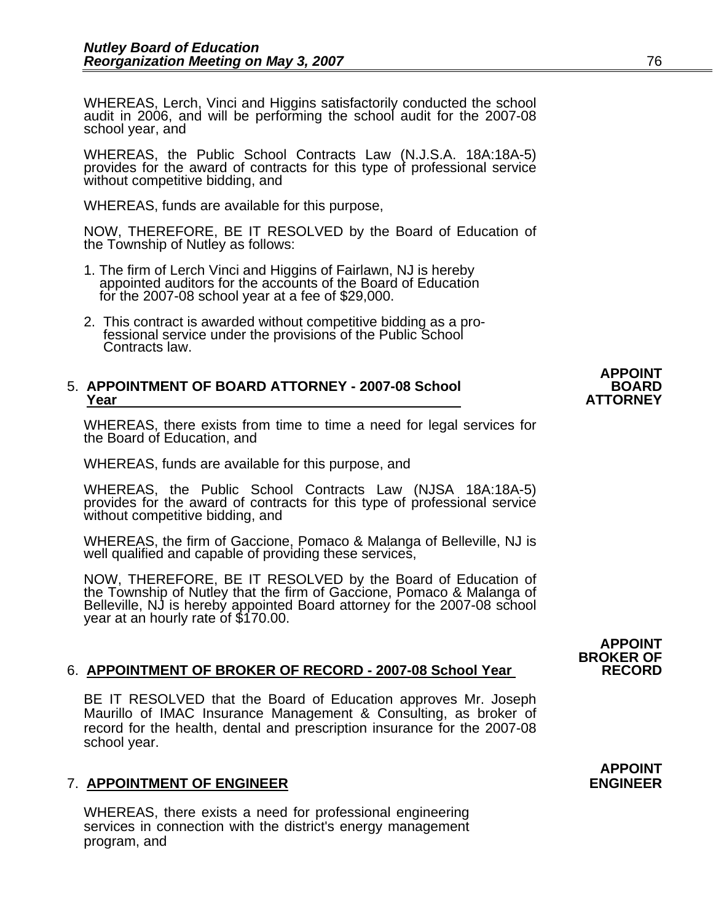WHEREAS, Lerch, Vinci and Higgins satisfactorily conducted the school audit in 2006, and will be performing the school audit for the 2007-08 school year, and

WHEREAS, the Public School Contracts Law (N.J.S.A. 18A:18A-5) provides for the award of contracts for this type of professional service without competitive bidding, and

WHEREAS, funds are available for this purpose,

NOW, THEREFORE, BE IT RESOLVED by the Board of Education of the Township of Nutley as follows:

- 1. The firm of Lerch Vinci and Higgins of Fairlawn, NJ is hereby appointed auditors for the accounts of the Board of Education for the 2007-08 school year at a fee of \$29,000.
- 2. This contract is awarded without competitive bidding as a pro- fessional service under the provisions of the Public School Contracts law.

### 5. APPOINTMENT OF BOARD ATTORNEY - 2007-08 School **BOARD**<br>ATTORNEY Year

WHEREAS, there exists from time to time a need for legal services for the Board of Education, and

WHEREAS, funds are available for this purpose, and

WHEREAS, the Public School Contracts Law (NJSA 18A:18A-5) provides for the award of contracts for this type of professional service without competitive bidding, and

WHEREAS, the firm of Gaccione, Pomaco & Malanga of Belleville, NJ is well qualified and capable of providing these services,

NOW, THEREFORE, BE IT RESOLVED by the Board of Education of the Township of Nutley that the firm of Gaccione, Pomaco & Malanga of Belleville, NJ is hereby appointed Board attorney for the 2007-08 school year at an hourly r

#### **BROKER OF** 6. **APPOINTMENT OF BROKER OF RECORD - 2007-08 School Year RECORD**

BE IT RESOLVED that the Board of Education approves Mr. Joseph Maurillo of IMAC Insurance Management & Consulting, as broker of record for the health, dental and prescription insurance for the 2007-08 school year.

#### 7. **APPOINTMENT OF ENGINEER ENGINEER**

WHEREAS, there exists a need for professional engineering services in connection with the district's energy management program, and

# **APPOINT**

### **APPOINT**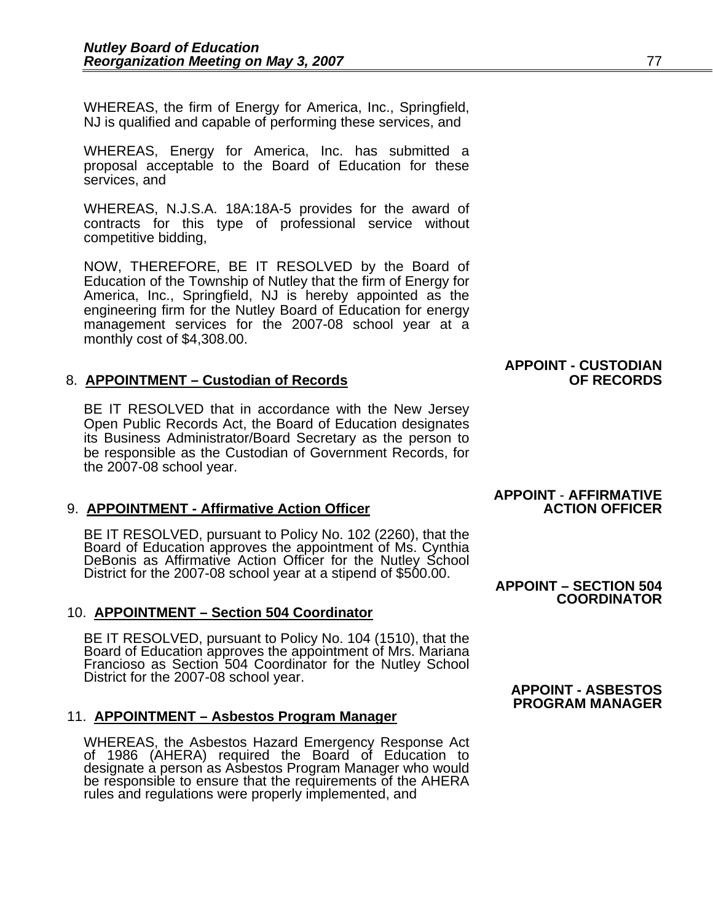WHEREAS, the firm of Energy for America, Inc., Springfield, NJ is qualified and capable of performing these services, and

WHEREAS, Energy for America, Inc. has submitted a proposal acceptable to the Board of Education for these services, and

WHEREAS, N.J.S.A. 18A:18A-5 provides for the award of contracts for this type of professional service without competitive bidding,

NOW, THEREFORE, BE IT RESOLVED by the Board of Education of the Township of Nutley that the firm of Energy for America, Inc., Springfield, NJ is hereby appointed as the engineering firm for the Nutley Board of Education for energy management services for the 2007-08 school year at a monthly cost of \$4,308.00.

#### 8. **APPOINTMENT – Custodian of Records OF RECORDS**

BE IT RESOLVED that in accordance with the New Jersey Open Public Records Act, the Board of Education designates its Business Administrator/Board Secretary as the person to be responsible as the Custodian of Government Records, for the 2007-08 school year.

#### 9. **APPOINTMENT - Affirmative Action Officer**

BE IT RESOLVED, pursuant to Policy No. 102 (2260), that the<br>Board of Education approves the appointment of Ms. Cynthia<br>DeBonis as Affirmative Action Officer for the Nutley School<br>District for the 2007-08 school year at a s

#### 10. **APPOINTMENT – Section 504 Coordinator**

BE IT RESOLVED, pursuant to Policy No. 104 (1510), that the<br>Board of Education approves the appointment of Mrs. Mariana<br>Francioso as Section 504 Coordinator for the Nutley School<br>District for the 2007-08 school year.<br>**APPO** 

#### 11. **APPOINTMENT – Asbestos Program Manager**

WHEREAS, the Asbestos Hazard Emergency Response Act of 1986 (AHERA) required the Board of Education to designate a person as Asbestos Program Manager who would be responsible to ensure that the requirements of the AHERA rules and regulations were properly implemented, and

## **APPOINT - CUSTODIAN**

### **APPOINT** - **AFFIRMATIVE**

### **COORDINATOR**

### **PROGRAM MANAGER**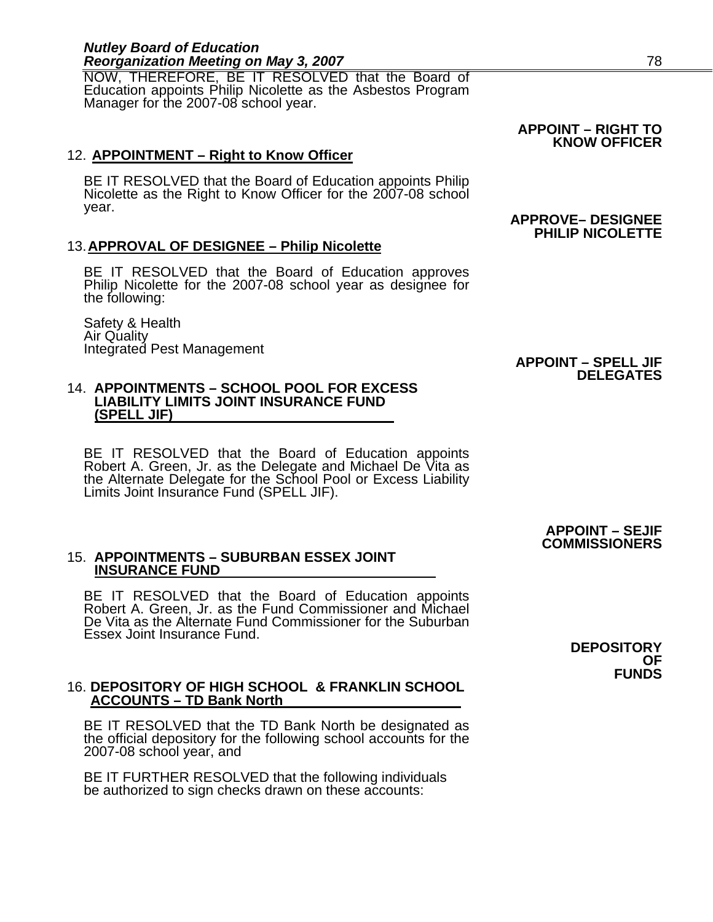#### *Nutley Board of Education*  **Reorganization Meeting on May 3, 2007** *Reorganization Meeting on May 3, 2007*

NOW, THEREFORE, BE IT RESOLVED that the Board of Education appoints Philip Nicolette as the Asbestos Program Manager for the 2007-08 school year.

#### 12. **APPOINTMENT – Right to Know Officer**

BE IT RESOLVED that the Board of Education appoints Philip Nicolette as the Right to Know Officer for the 2007-08 school year. **APPROVE– DESIGNEE** 

#### 13. **APPROVAL OF DESIGNEE – Philip Nicolette**

BE IT RESOLVED that the Board of Education approves Philip Nicolette for the 2007-08 school year as designee for the following:

Safety & Health Air Quality Integrated Pest Management **APPOINT – SPELL JIF** 

#### 14. **APPOINTMENTS – SCHOOL POOL FOR EXCESS LIABILITY LIMITS JOINT INSURANCE FUND (SPELL JIF)**

BE IT RESOLVED that the Board of Education appoints Robert A. Green, Jr. as the Delegate and Michael De Vita as the Alternate Delegate for the School Pool or Excess Liability Limits Joint Insurance Fund (SPELL JIF).

#### **APPOINT – SEJIF COMMISSIONERS**

**DELEGATES**

### 15. **APPOINTMENTS – SUBURBAN ESSEX JOINT INSURANCE FUND**

BE IT RESOLVED that the Board of Education appoints Robert A. Green, Jr. as the Fund Commissioner and Michael De Vita as the Alternate Fund Commissioner for the Suburban Essex Joint Insurance Fund.

#### 16. **DEPOSITORY OF HIGH SCHOOL & FRANKLIN SCHOOL ACCOUNTS – TD Bank North**

BE IT RESOLVED that the TD Bank North be designated as the official depository for the following school accounts for the 2007-08 school year, and

BE IT FURTHER RESOLVED that the following individuals be authorized to sign checks drawn on these accounts:

**DEPOSITORY OF FUNDS** 

### **APPOINT – RIGHT TO KNOW OFFICER**

### **PHILIP NICOLETTE**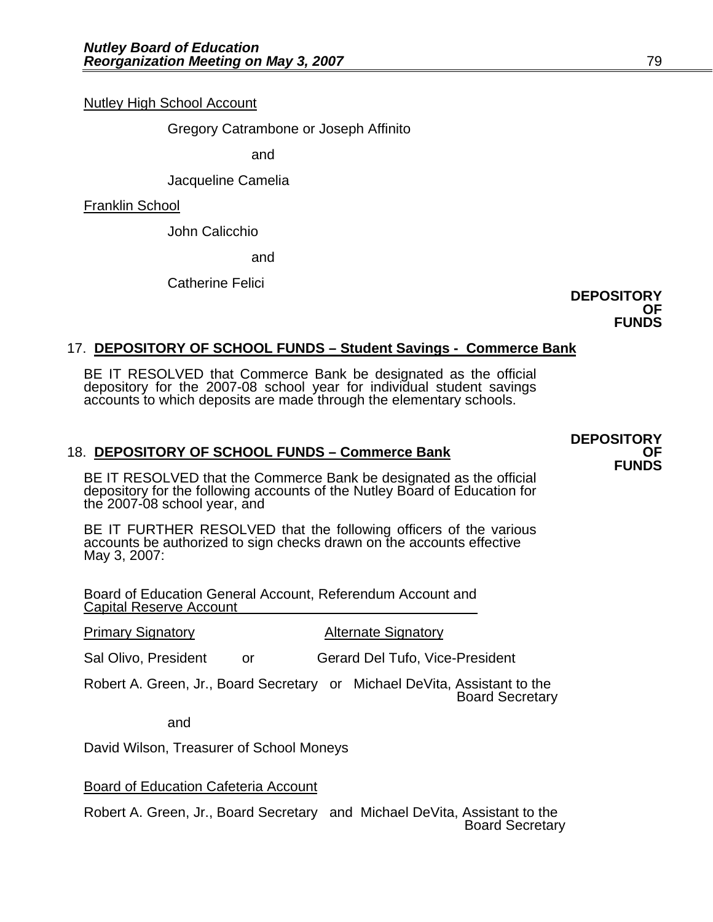Nutley High School Account

Gregory Catrambone or Joseph Affinito

and

Jacqueline Camelia

Franklin School

John Calicchio and Catherine Felici

**DEPOSITORY OF FUNDS** 

#### 17. **DEPOSITORY OF SCHOOL FUNDS – Student Savings - Commerce Bank**

BE IT RESOLVED that Commerce Bank be designated as the official depository for the 2007-08 school year for individual student savings accounts to which deposits are made through the elementary schools.

18. **DEPOSITORY OF SCHOOL FUNDS – Commerce Bank**<br>**FUNDS**<br>BE IT RESOLVED that the Commerce Bank be designated as the official depository for the following accounts of the Nutley Board of Education for the 2007-08 school year, and

BE IT FURTHER RESOLVED that the following officers of the various accounts be authorized to sign checks drawn on the accounts effective May 3, 2007:

Board of Education General Account, Referendum Account and Capital Reserve Account

**Primary Signatory Community Alternate Signatory** 

Sal Olivo, President or Gerard Del Tufo, Vice-President

Robert A. Green, Jr., Board Secretary or Michael DeVita, Assistant to the Board Secretary

and

David Wilson, Treasurer of School Moneys

Board of Education Cafeteria Account

Robert A. Green, Jr., Board Secretary and Michael DeVita, Assistant to the Board Secretary

**DEPOSITORY**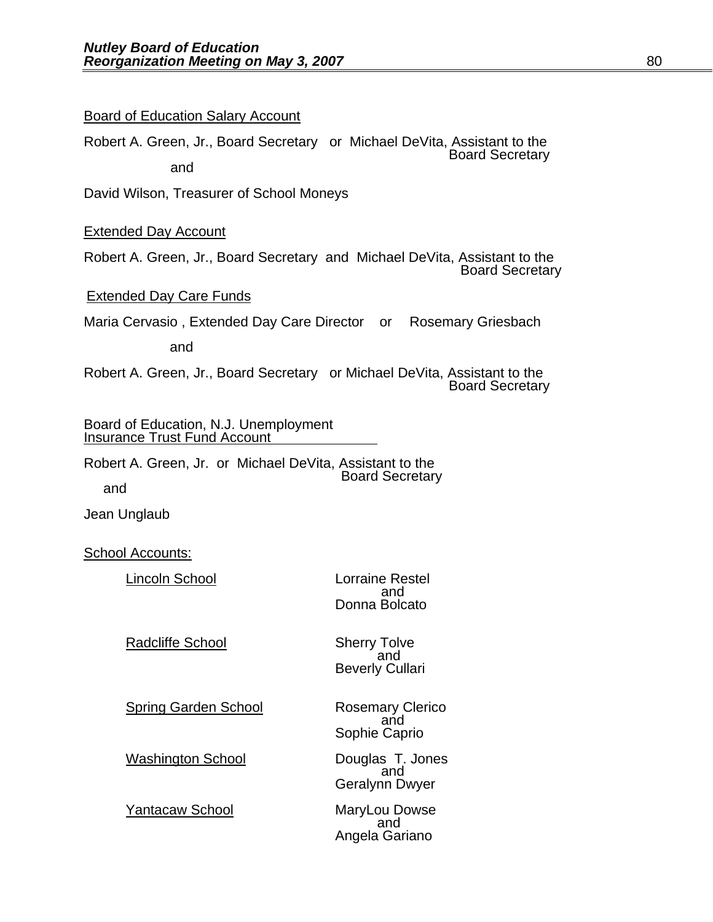#### Board of Education Salary Account

Robert A. Green, Jr., Board Secretary or Michael DeVita, Assistant to the Board Secretary and

David Wilson, Treasurer of School Moneys

#### Extended Day Account

Robert A. Green, Jr., Board Secretary and Michael DeVita, Assistant to the Board Secretary

#### Extended Day Care Funds

Maria Cervasio , Extended Day Care Director or Rosemary Griesbach

and

Robert A. Green, Jr., Board Secretary or Michael DeVita, Assistant to the Board Secretary

### Board of Education, N.J. Unemployment Insurance Trust Fund Account

Robert A. Green, Jr. or Michael DeVita, Assistant to the Board Secretary

and

Jean Unglaub

School Accounts:

| Lincoln School          | <b>Lorraine Restel</b><br>and<br>Donna Bolcato |
|-------------------------|------------------------------------------------|
| <b>Radcliffe School</b> | Sherry Tolve<br>and                            |

Spring Garden School **Rosemary Clerico**<br>and

Washington School **Douglas T. Jones**<br>and

 Geralynn Dwyer Yantacaw School MaryLou Dowse<br>and Angela Gariano

Beverly Cullari

Sophie Caprio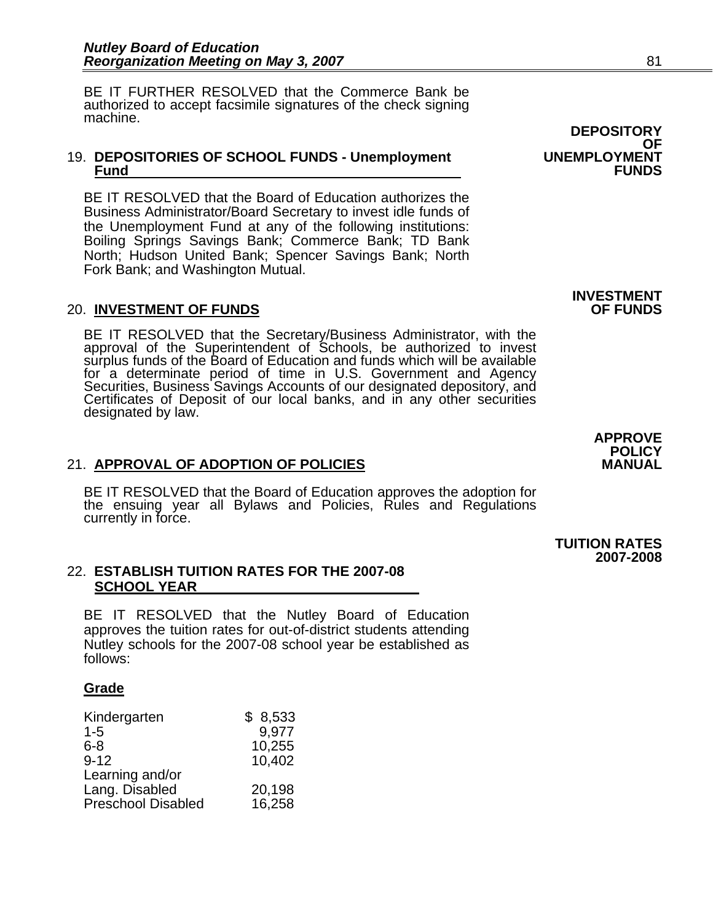BE IT FURTHER RESOLVED that the Commerce Bank be authorized to accept facsimile signatures of the check signing machine.

#### 19. **DEPOSITORIES OF SCHOOL FUNDS - Unemployment UNEMPLOYMENT Fund FUNDS**

BE IT RESOLVED that the Board of Education authorizes the Business Administrator/Board Secretary to invest idle funds of the Unemployment Fund at any of the following institutions: Boiling Springs Savings Bank; Commerce Bank; TD Bank North; Hudson United Bank; Spencer Savings Bank; North Fork Bank; and Washington Mutual.

#### **20. INVESTMENT OF FUNDS**

BE IT RESOLVED that the Secretary/Business Administrator, with the approval of the Superintendent of Schools, be authorized to invest surplus funds of the Board of Education and funds which will be available for a determinate period of time in U.S. Government and Agency<br>Securities, Business Savings Accounts of our designated depository, and<br>Certificates of Deposit of our local banks, and in any other securities<br>designated by l

#### 21. **APPROVAL OF ADOPTION OF POLICIES**

BE IT RESOLVED that the Board of Education approves the adoption for the ensuing year all Bylaws and Policies, Rules and Regulations currently in force.

#### 22. **ESTABLISH TUITION RATES FOR THE 2007-08 SCHOOL YEAR**

BE IT RESOLVED that the Nutley Board of Education approves the tuition rates for out-of-district students attending Nutley schools for the 2007-08 school year be established as follows:

#### **Grade**

| Kindergarten       | \$8,533 |
|--------------------|---------|
| $1 - 5$            | 9,977   |
| $6 - 8$            | 10,255  |
| $9 - 12$           | 10,402  |
| Learning and/or    |         |
| Lang. Disabled     | 20,198  |
| Preschool Disabled | 16,258  |

**DEPOSITORY**  OF<br>UNEMPLOYMENT

### **INVESTMENT**

 **TUITION RATES 2007-2008**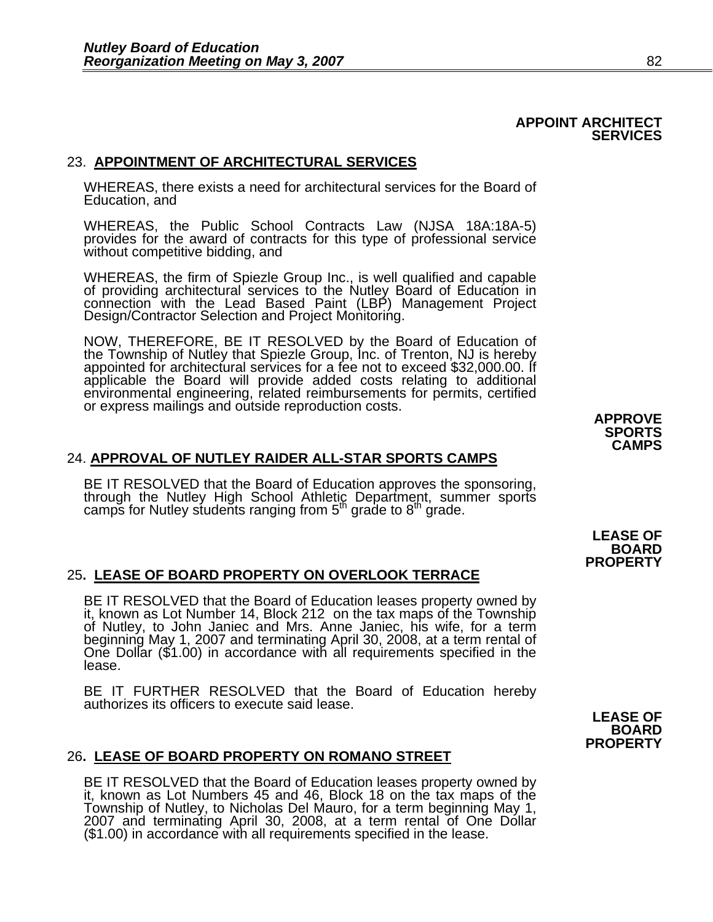#### **APPOINT ARCHITECT SERVICES**

#### 23. **APPOINTMENT OF ARCHITECTURAL SERVICES**

WHEREAS, there exists a need for architectural services for the Board of Education, and

WHEREAS, the Public School Contracts Law (NJSA 18A:18A-5) provides for the award of contracts for this type of professional service without competitive bidding, and

WHEREAS, the firm of Spiezle Group Inc., is well qualified and capable of providing architectural services to the Nutley Board of Education in connection with the Lead Based Paint (LBP) Management Project Design/Contractor Selection and Project Monitoring.

NOW, THEREFORE, BE IT RESOLVED by the Board of Education of the Township of Nutley that Spiezle Group, Inc. of Trenton, NJ is hereby appointed for architectural services for a fee not to exceed \$32,000.00. If applicable the Board will provide added costs relating to additional environmental engineering, related reimbursements for permits, certified or express mailings and outside reproduction costs.

#### 24. **APPROVAL OF NUTLEY RAIDER ALL-STAR SPORTS CAMPS**

BE IT RESOLVED that the Board of Education approves the sponsoring, through the Nutley High School Athletic Department, summer sports camps for Nutley students ranging from 5<sup>th</sup> grade to 8<sup>th</sup> grade.

#### 25**. LEASE OF BOARD PROPERTY ON OVERLOOK TERRACE**

BE IT RESOLVED that the Board of Education leases property owned by it, known as Lot Number 14, Block 212 on the tax maps of the Township of Nutley, to John Janiec and Mrs. Anne Janiec, his wife, for a term beginning May 1 One Dollar (\$1.00) in accordance with all requirements specified in the lease.

BE IT FURTHER RESOLVED that the Board of Education hereby authorizes its officers to execute said lease.

#### 26**. LEASE OF BOARD PROPERTY ON ROMANO STREET**

BE IT RESOLVED that the Board of Education leases property owned by it, known as Lot Numbers 45 and 46, Block 18 on the tax maps of the Township of Nutley, to Nicholas Del Mauro, for a term beginning May 1, 2007 and terminating April 30, 2008, at a term rental of One Dollar (\$1.00) in accordance with all requirements specified in the lease.

**APPROVE SPORTS CAMPS** 

**LEASE OF BOARD PROPERTY** 

**LEASE OF BOARD PROPERTY**